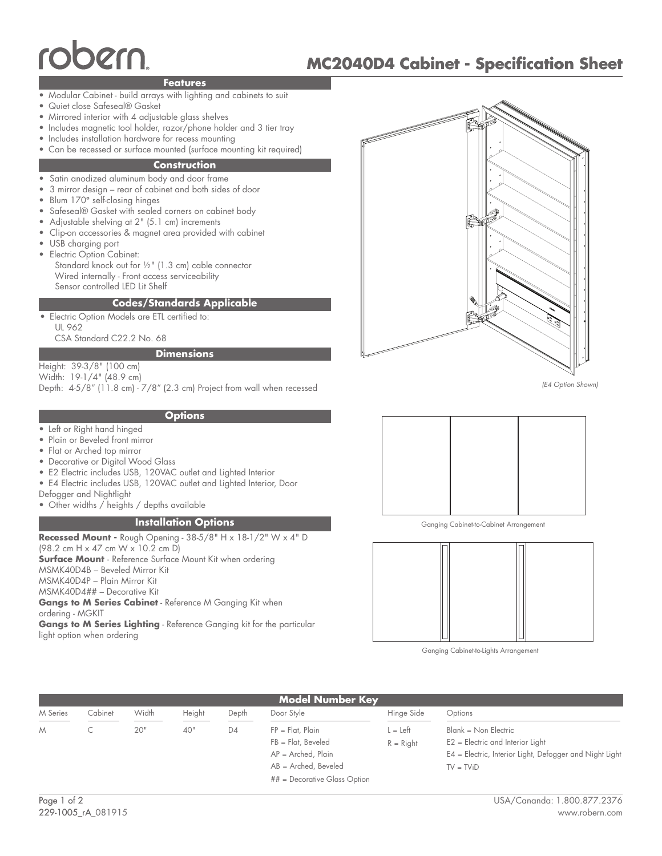# oerr

## **MC2040D4 Cabinet - Specification Sheet**

#### **Features**

- Modular Cabinet build arrays with lighting and cabinets to suit
- • Quiet close Safeseal® Gasket
- Mirrored interior with 4 adjustable glass shelves
- Includes magnetic tool holder, razor/phone holder and 3 tier tray
- Includes installation hardware for recess mounting
- Can be recessed or surface mounted (surface mounting kit required)

#### **Construction**

- Satin anodized aluminum body and door frame •
- 3 mirror design rear of cabinet and both sides of door •
- Blum 170**°** self-closing hinges •
- Safeseal® Gasket with sealed corners on cabinet body •
- Adjustable shelving at 2" (5.1 cm) increments •
- Clip-on accessories & magnet area provided with cabinet •
- USB charging port •
- Electric Option Cabinet: Standard knock out for ½" (1.3 cm) cable connector Wired internally - Front access serviceability Sensor controlled LED Lit Shelf

#### **Codes/Standards Applicable**

Electric Option Models are ETL certified to: UL 962 CSA Standard C22.2 No. 68 •

### **Dimensions**

Height: 39-3/8" (100 cm) Width: 19-1/4" (48.9 cm)

Depth: 4-5/8" (11.8 cm) - 7/8" (2.3 cm) Project from wall when recessed

#### **Options**

- Left or Right hand hinged
- • Plain or Beveled front mirror
- Flat or Arched top mirror
- Decorative or Digital Wood Glass
- E2 Electric includes USB, 120VAC outlet and Lighted Interior
- E4 Electric includes USB, 120VAC outlet and Lighted Interior, Door
- Defogger and Nightlight
- Other widths / heights / depths available

#### **Installation Options**

**Recessed Mount -** Rough Opening - 38-5/8" H x 18-1/2" W x 4" D (98.2 cm H x 47 cm W x 10.2 cm D) **Surface Mount** - Reference Surface Mount Kit when ordering MSMK40D4B – Beveled Mirror Kit MSMK40D4P – Plain Mirror Kit MSMK40D4## – Decorative Kit **Gangs to M Series Cabinet** - Reference M Ganging Kit when ordering - MGKIT **Gangs to M Series Lighting** - Reference Ganging kit for the particular light option when ordering



*(E4 Option Shown)*



Ganging Cabinet-to-Cabinet Arrangement



Ganging Cabinet-to-Lights Arrangement

| <b>Model Number Key</b> |         |       |        |       |                                                                                                                                  |                         |                                                                                                                                      |
|-------------------------|---------|-------|--------|-------|----------------------------------------------------------------------------------------------------------------------------------|-------------------------|--------------------------------------------------------------------------------------------------------------------------------------|
| M Series                | Cabinet | Width | Height | Depth | Door Style                                                                                                                       | Hinge Side              | Options                                                                                                                              |
| M                       |         | 20"   | 40"    | D4    | $FP = Flat$ , Plain<br>$FB = Flat$ , Beveled<br>$AP =$ Arched, Plain<br>$AB =$ Arched, Beveled<br>$## =$ Decorative Glass Option | $=$ Left<br>$R = Right$ | Blank = Non Electric<br>$E2 =$ Electric and Interior Light<br>E4 = Electric, Interior Light, Defogger and Night Light<br>$TV = TViD$ |